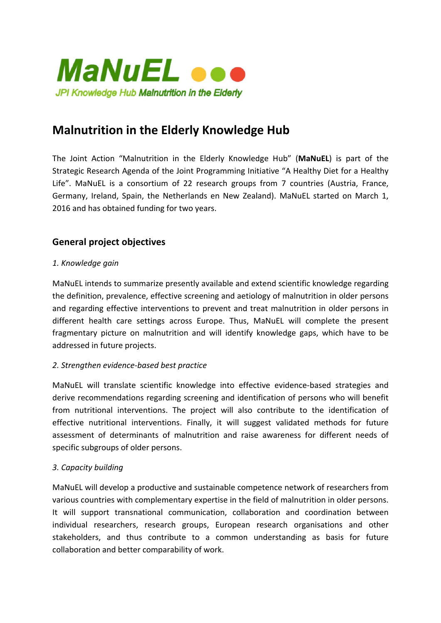

# **Malnutrition in the Elderly Knowledge Hub**

The Joint Action "Malnutrition in the Elderly Knowledge Hub" (MaNuEL) is part of the Strategic Research Agenda of the Joint Programming Initiative "A Healthy Diet for a Healthy Life". MaNuEL is a consortium of 22 research groups from 7 countries (Austria, France, Germany, Ireland, Spain, the Netherlands en New Zealand). MaNuEL started on March 1, 2016 and has obtained funding for two years.

## **General project objectives**

#### *1. Knowledge gain*

MaNuEL intends to summarize presently available and extend scientific knowledge regarding the definition, prevalence, effective screening and aetiology of malnutrition in older persons and regarding effective interventions to prevent and treat malnutrition in older persons in different health care settings across Europe. Thus, MaNuEL will complete the present fragmentary picture on malnutrition and will identify knowledge gaps, which have to be addressed in future projects.

#### *2. Strengthen evidence-based best practice*

MaNuEL will translate scientific knowledge into effective evidence-based strategies and derive recommendations regarding screening and identification of persons who will benefit from nutritional interventions. The project will also contribute to the identification of effective nutritional interventions. Finally, it will suggest validated methods for future assessment of determinants of malnutrition and raise awareness for different needs of specific subgroups of older persons.

#### *3. Capacity building*

MaNuEL will develop a productive and sustainable competence network of researchers from various countries with complementary expertise in the field of malnutrition in older persons. It will support transnational communication, collaboration and coordination between individual researchers, research groups, European research organisations and other stakeholders, and thus contribute to a common understanding as basis for future collaboration and better comparability of work.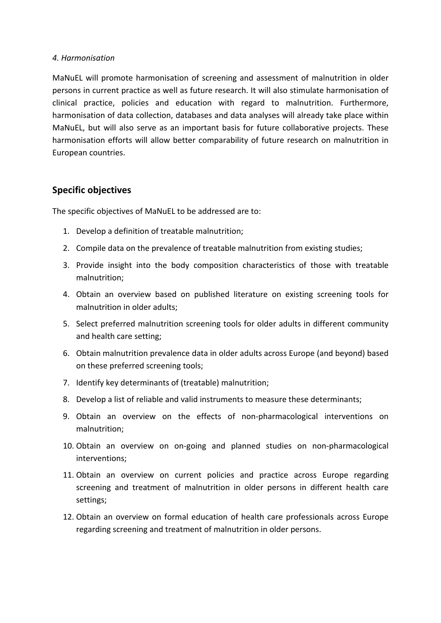#### *4. Harmonisation*

MaNuEL will promote harmonisation of screening and assessment of malnutrition in older persons in current practice as well as future research. It will also stimulate harmonisation of clinical practice, policies and education with regard to malnutrition. Furthermore, harmonisation of data collection, databases and data analyses will already take place within MaNuEL, but will also serve as an important basis for future collaborative projects. These harmonisation efforts will allow better comparability of future research on malnutrition in European countries.

#### **Specific objectives**

The specific objectives of MaNuEL to be addressed are to:

- 1. Develop a definition of treatable malnutrition;
- 2. Compile data on the prevalence of treatable malnutrition from existing studies;
- 3. Provide insight into the body composition characteristics of those with treatable malnutrition;
- 4. Obtain an overview based on published literature on existing screening tools for malnutrition in older adults;
- 5. Select preferred malnutrition screening tools for older adults in different community and health care setting;
- 6. Obtain malnutrition prevalence data in older adults across Europe (and beyond) based on these preferred screening tools;
- 7. Identify key determinants of (treatable) malnutrition;
- 8. Develop a list of reliable and valid instruments to measure these determinants;
- 9. Obtain an overview on the effects of non-pharmacological interventions on malnutrition;
- 10. Obtain an overview on on-going and planned studies on non-pharmacological interventions;
- 11. Obtain an overview on current policies and practice across Europe regarding screening and treatment of malnutrition in older persons in different health care settings;
- 12. Obtain an overview on formal education of health care professionals across Europe regarding screening and treatment of malnutrition in older persons.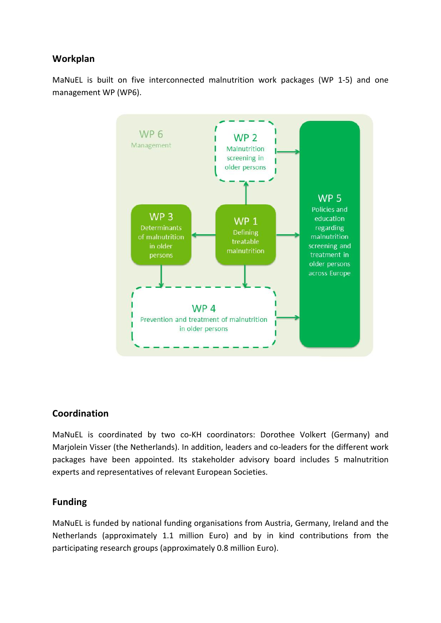## **Workplan**

MaNuEL is built on five interconnected malnutrition work packages (WP 1-5) and one management WP (WP6).



#### **Coordination**

MaNuEL is coordinated by two co-KH coordinators: Dorothee Volkert (Germany) and Marjolein Visser (the Netherlands). In addition, leaders and co-leaders for the different work packages have been appointed. Its stakeholder advisory board includes 5 malnutrition experts and representatives of relevant European Societies.

#### **Funding**

MaNuEL is funded by national funding organisations from Austria, Germany, Ireland and the Netherlands (approximately 1.1 million Euro) and by in kind contributions from the participating research groups (approximately 0.8 million Euro).